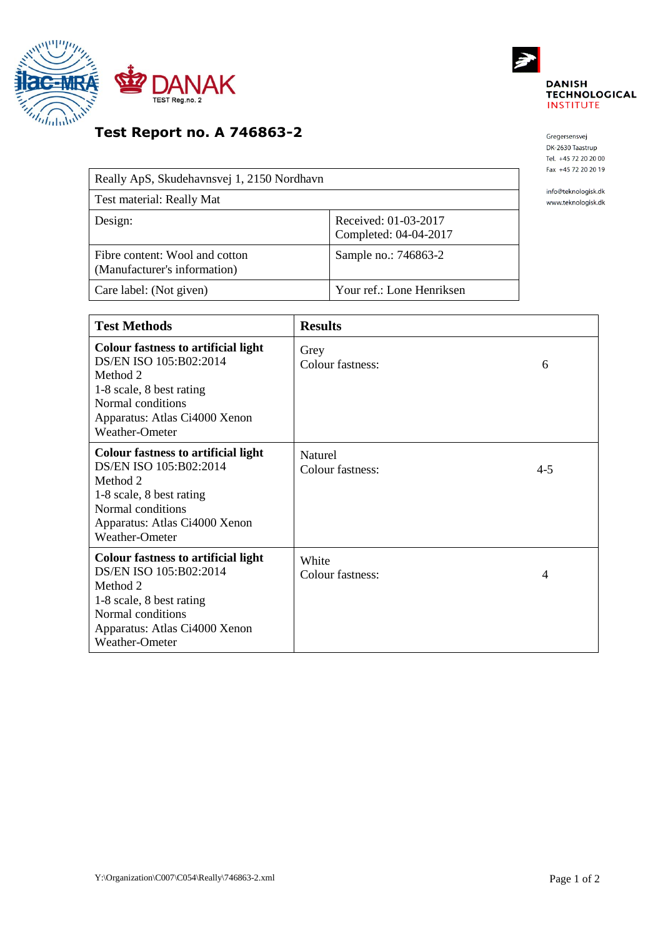



## **Test Report no. A 746863-2**

| Really ApS, Skudehavnsvej 1, 2150 Nordhavn                     |                                               |  |
|----------------------------------------------------------------|-----------------------------------------------|--|
| Test material: Really Mat                                      |                                               |  |
| Design:                                                        | Received: 01-03-2017<br>Completed: 04-04-2017 |  |
| Fibre content: Wool and cotton<br>(Manufacturer's information) | Sample no.: 746863-2                          |  |
| Care label: (Not given)                                        | Your ref.: Lone Henriksen                     |  |

Gregersensvej DK-2630 Taastrup Tel. +45 72 20 20 00 Fax +45 72 20 20 19

info@teknologisk.dk www.teknologisk.dk

| <b>Test Methods</b>                                                                                                                                                                  | <b>Results</b>              |         |
|--------------------------------------------------------------------------------------------------------------------------------------------------------------------------------------|-----------------------------|---------|
| <b>Colour fastness to artificial light</b><br>DS/EN ISO 105:B02:2014<br>Method 2<br>1-8 scale, 8 best rating<br>Normal conditions<br>Apparatus: Atlas Ci4000 Xenon<br>Weather-Ometer | Grey<br>Colour fastness:    | 6       |
| <b>Colour fastness to artificial light</b><br>DS/EN ISO 105:B02:2014<br>Method 2<br>1-8 scale, 8 best rating<br>Normal conditions<br>Apparatus: Atlas Ci4000 Xenon<br>Weather-Ometer | Naturel<br>Colour fastness: | $4 - 5$ |
| <b>Colour fastness to artificial light</b><br>DS/EN ISO 105:B02:2014<br>Method 2<br>1-8 scale, 8 best rating<br>Normal conditions<br>Apparatus: Atlas Ci4000 Xenon<br>Weather-Ometer | White<br>Colour fastness:   | 4       |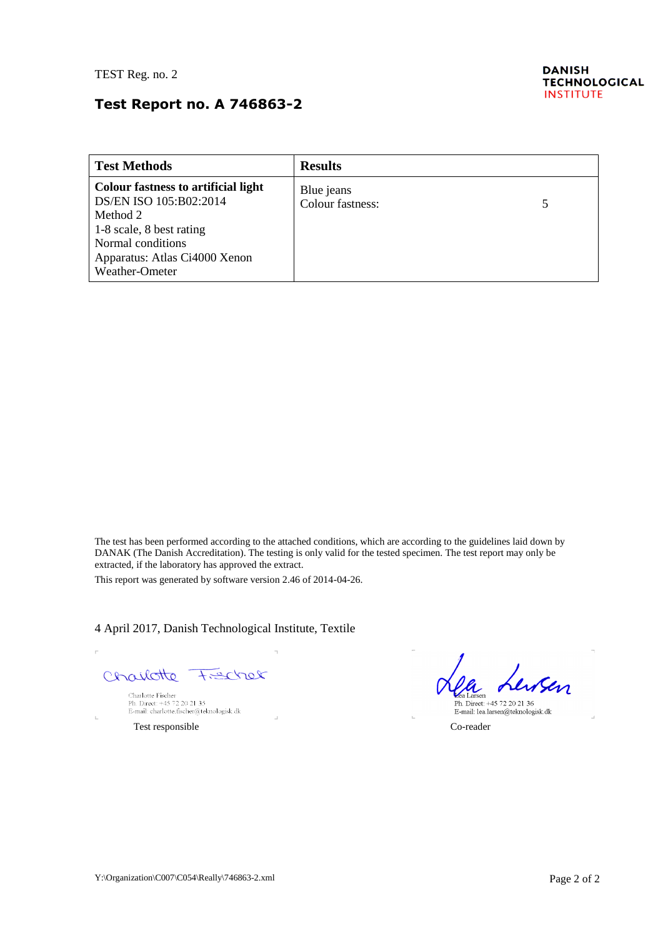## **Test Report no. A 746863-2**

| <b>Test Methods</b>                                                                                                                                                                  | <b>Results</b>                 |  |
|--------------------------------------------------------------------------------------------------------------------------------------------------------------------------------------|--------------------------------|--|
| <b>Colour fastness to artificial light</b><br>DS/EN ISO 105:B02:2014<br>Method 2<br>1-8 scale, 8 best rating<br>Normal conditions<br>Apparatus: Atlas Ci4000 Xenon<br>Weather-Ometer | Blue jeans<br>Colour fastness: |  |

The test has been performed according to the attached conditions, which are according to the guidelines laid down by DANAK (The Danish Accreditation). The testing is only valid for the tested specimen. The test report may only be extracted, if the laboratory has approved the extract.

This report was generated by software version 2.46 of 2014-04-26.

4 April 2017, Danish Technological Institute, Textile

Charlotte  $H = C$ 

Charlotte Fischer<br>Ph. Direct: +45 72 20 21 35<br>E-mail: charlotte.fischer@teknologisk.dk

Test responsible Co-reader

J.

Lewsen Larsen

eea Larsen<br>Ph. Direct: +45 72 20 21 36<br>E-mail: lea.larsen@teknologisk.dk